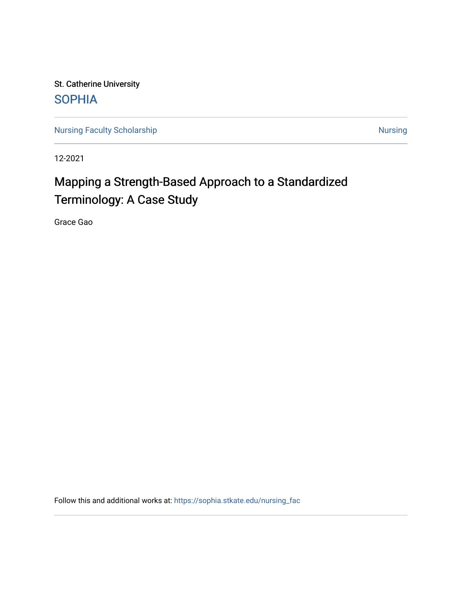St. Catherine University **SOPHIA** 

[Nursing Faculty Scholarship](https://sophia.stkate.edu/nursing_fac) [Nursing](https://sophia.stkate.edu/nursing) Nursing Nursing

12-2021

# Mapping a Strength-Based Approach to a Standardized Terminology: A Case Study

Grace Gao

Follow this and additional works at: [https://sophia.stkate.edu/nursing\\_fac](https://sophia.stkate.edu/nursing_fac?utm_source=sophia.stkate.edu%2Fnursing_fac%2F118&utm_medium=PDF&utm_campaign=PDFCoverPages)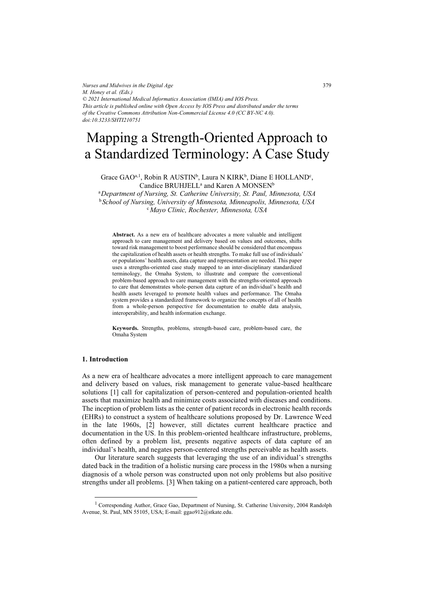*Nurses and Midwives in the Digital Age M. Honey et al. (Eds.) © 2021 International Medical Informatics Association (IMIA) and IOS Press. This article is published online with Open Access by IOS Press and distributed under the terms of the Creative Commons Attribution Non-Commercial License 4.0 (CC BY-NC 4.0). doi:10.3233/SHTI210751*

## Mapping a Strength-Oriented Approach to a Standardized Terminology: A Case Study

Grace  $GAO^{a,1}$ , Robin R AUSTIN<sup>b</sup>, Laura N KIRK<sup>b</sup>, Diane E HOLLAND<sup>c</sup>,  $\mathrm{C}$ andice  $\mathrm{BRUHJELL}^{\mathrm{a}}$  and  $\mathrm{K}$ aren A $\mathrm{MONSEN}^{\mathrm{b}}$ 

<sup>a</sup>Department of Nursing, St. Catherine University, St. Paul, Minnesota, USA <sup>b</sup> School of Nursing, University of Minnesota, Minneapolis, Minnesota, USA <sup>c</sup> Mayo Clinic, Rochester, Minnesota, USA *Mayo Clinic, Rochester, Minnesota, USA* 

Abstract. As a new era of healthcare advocates a more valuable and intelligent approach to care management and delivery based on values and outcomes, shifts toward risk management to boost performance should be considered that encompass the capitalization of health assets or health strengths. To make full use of individuals' or populations' health assets, data capture and representation are needed. This paper uses a strengths-oriented case study mapped to an inter-disciplinary standardized terminology, the Omaha System, to illustrate and compare the conventional problem-based approach to care management with the strengths-oriented approach to care that demonstrates whole-person data capture of an individual's health and health assets leveraged to promote health values and performance. The Omaha system provides a standardized framework to organize the concepts of all of health from a whole-person perspective for documentation to enable data analysis, interoperability, and health information exchange.

**Keywords.** Strengths, problems, strength-based care, problem-based care, the Omaha System

#### **1. Introduction**

As a new era of healthcare advocates a more intelligent approach to care management and delivery based on values, risk management to generate value-based healthcare solutions [1] call for capitalization of person-centered and population-oriented health assets that maximize health and minimize costs associated with diseases and conditions. The inception of problem lists as the center of patient records in electronic health records (EHRs) to construct a system of healthcare solutions proposed by Dr. Lawrence Weed in the late 1960s, [2] however, still dictates current healthcare practice and documentation in the US. In this problem-oriented healthcare infrastructure, problems, often defined by a problem list, presents negative aspects of data capture of an individual's health, and negates person-centered strengths perceivable as health assets.

Our literature search suggests that leveraging the use of an individual's strengths dated back in the tradition of a holistic nursing care process in the 1980s when a nursing diagnosis of a whole person was constructed upon not only problems but also positive strengths under all problems. [3] When taking on a patient-centered care approach, both

<sup>&</sup>lt;sup>1</sup> Corresponding Author, Grace Gao, Department of Nursing, St. Catherine University, 2004 Randolph Avenue, St. Paul, MN 55105, USA; E-mail: ggao912@stkate.edu.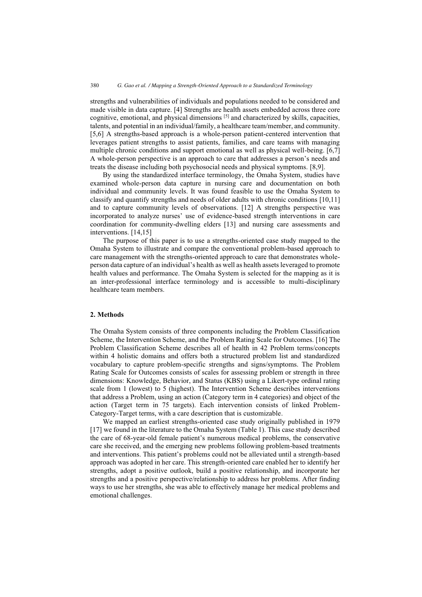strengths and vulnerabilities of individuals and populations needed to be considered and made visible in data capture. [4] Strengths are health assets embedded across three core cognitive, emotional, and physical dimensions  $\left[5\right]$  and characterized by skills, capacities, talents, and potential in an individual/family, a healthcare team/member, and community. [5,6] A strengths-based approach is a whole-person patient-centered intervention that leverages patient strengths to assist patients, families, and care teams with managing multiple chronic conditions and support emotional as well as physical well-being. [6,7] A whole-person perspective is an approach to care that addresses a person's needs and treats the disease including both psychosocial needs and physical symptoms. [8,9].

By using the standardized interface terminology, the Omaha System, studies have examined whole-person data capture in nursing care and documentation on both individual and community levels. It was found feasible to use the Omaha System to classify and quantify strengths and needs of older adults with chronic conditions [10,11] and to capture community levels of observations. [12] A strengths perspective was incorporated to analyze nurses' use of evidence-based strength interventions in care coordination for community-dwelling elders [13] and nursing care assessments and interventions. [14,15]

The purpose of this paper is to use a strengths-oriented case study mapped to the Omaha System to illustrate and compare the conventional problem-based approach to care management with the strengths-oriented approach to care that demonstrates wholeperson data capture of an individual's health as well as health assets leveraged to promote health values and performance. The Omaha System is selected for the mapping as it is an inter-professional interface terminology and is accessible to multi-disciplinary healthcare team members.

#### **2. Methods**

The Omaha System consists of three components including the Problem Classification Scheme, the Intervention Scheme, and the Problem Rating Scale for Outcomes. [16] The Problem Classification Scheme describes all of health in 42 Problem terms/concepts within 4 holistic domains and offers both a structured problem list and standardized vocabulary to capture problem-specific strengths and signs/symptoms. The Problem Rating Scale for Outcomes consists of scales for assessing problem or strength in three dimensions: Knowledge, Behavior, and Status (KBS) using a Likert-type ordinal rating scale from 1 (lowest) to 5 (highest). The Intervention Scheme describes interventions that address a Problem, using an action (Category term in 4 categories) and object of the action (Target term in 75 targets). Each intervention consists of linked Problem-Category-Target terms, with a care description that is customizable.

We mapped an earliest strengths-oriented case study originally published in 1979 [17] we found in the literature to the Omaha System (Table 1). This case study described the care of 68-year-old female patient's numerous medical problems, the conservative care she received, and the emerging new problems following problem-based treatments and interventions. This patient's problems could not be alleviated until a strength-based approach was adopted in her care. This strength-oriented care enabled her to identify her strengths, adopt a positive outlook, build a positive relationship, and incorporate her strengths and a positive perspective/relationship to address her problems. After finding ways to use her strengths, she was able to effectively manage her medical problems and emotional challenges.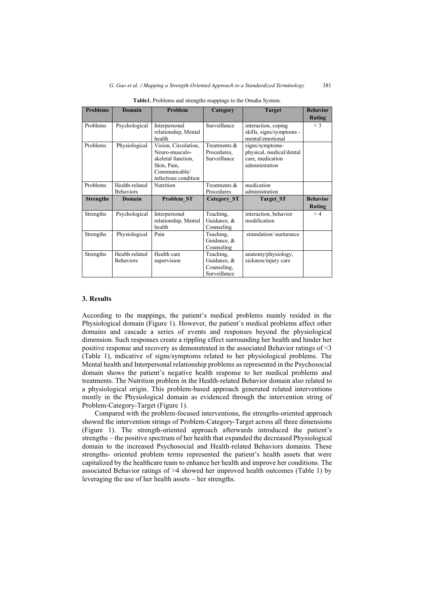| <b>Problems</b>  | <b>Domain</b>                      | <b>Problem</b>                                                                                                       | Category                                                | <b>Target</b>                                                                     | <b>Behavior</b><br>Rating |
|------------------|------------------------------------|----------------------------------------------------------------------------------------------------------------------|---------------------------------------------------------|-----------------------------------------------------------------------------------|---------------------------|
| Problems         | Psychological                      | Interpersonal<br>relationship, Mental<br>health                                                                      | Surveillance                                            | interaction, coping<br>skills, signs/symptoms -<br>mental/emotional               | $\leq$ 3                  |
| Problems         | Physiological                      | Vision, Circulation,<br>Neuro-musculo-<br>skeletal function.<br>Skin, Pain,<br>Communicable/<br>infectious condition | Treatments &<br>Procedures.<br>Surveillance             | signs/symptoms-<br>physical, medical/dental<br>care, medication<br>administration |                           |
| Problems         | Health-related<br><b>Behaviors</b> | Nutrition                                                                                                            | Treatments &<br>Procedures                              | medication<br>administration                                                      |                           |
| <b>Strengths</b> | Domain                             | Problem ST                                                                                                           | <b>Category ST</b>                                      | <b>Target ST</b>                                                                  | <b>Behavior</b><br>Rating |
| Strengths        | Psychological                      | Interpersonal<br>relationship, Mental<br>health                                                                      | Teaching,<br>Guidance, &<br>Counseling                  | interaction, behavior<br>modification                                             | >4                        |
| Strengths        | Physiological                      | Pain                                                                                                                 | Teaching,<br>Guidance, &<br>Counseling                  | stimulation/nurturance                                                            |                           |
| Strengths        | Health-related<br><b>Behaviors</b> | Health care<br>supervision                                                                                           | Teaching,<br>Guidance, &<br>Counseling,<br>Surveillance | anatomy/physiology,<br>sickness/injury care                                       |                           |

**Table1.** Problems and strengths mappings to the Omaha System.

#### **3. Results**

According to the mappings, the patient's medical problems mainly resided in the Physiological domain (Figure 1). However, the patient's medical problems affect other domains and cascade a series of events and responses beyond the physiological dimension. Such responses create a rippling effect surrounding her health and hinder her positive response and recovery as demonstrated in the associated Behavior ratings of <3 (Table 1), indicative of signs/symptoms related to her physiological problems. The Mental health and Interpersonal relationship problems as represented in the Psychosocial domain shows the patient's negative health response to her medical problems and treatments. The Nutrition problem in the Health-related Behavior domain also related to a physiological origin. This problem-based approach generated related interventions mostly in the Physiological domain as evidenced through the intervention string of Problem-Category-Target (Figure 1).

Compared with the problem-focused interventions, the strengths-oriented approach showed the intervention strings of Problem-Category-Target across all three dimensions (Figure 1). The strength-oriented approach afterwards introduced the patient's strengths – the positive spectrum of her health that expanded the decreased Physiological domain to the increased Psychosocial and Health-related Behaviors domains. These strengths- oriented problem terms represented the patient's health assets that were capitalized by the healthcare team to enhance her health and improve her conditions. The associated Behavior ratings of >4 showed her improved health outcomes (Table 1) by leveraging the use of her health assets – her strengths.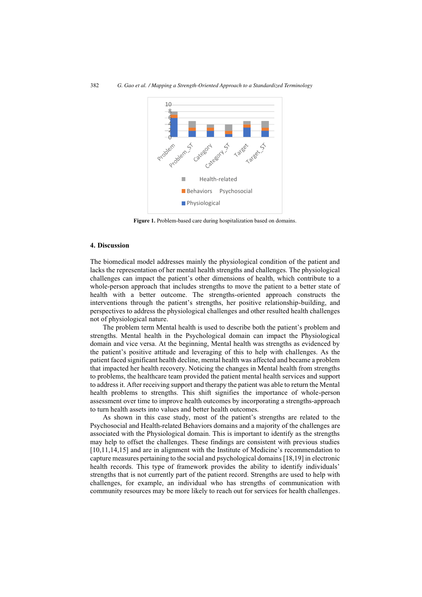

**Figure 1.** Problem-based care during hospitalization based on domains.

#### **4. Discussion**

The biomedical model addresses mainly the physiological condition of the patient and lacks the representation of her mental health strengths and challenges. The physiological challenges can impact the patient's other dimensions of health, which contribute to a whole-person approach that includes strengths to move the patient to a better state of health with a better outcome. The strengths-oriented approach constructs the interventions through the patient's strengths, her positive relationship-building, and perspectives to address the physiological challenges and other resulted health challenges not of physiological nature.

The problem term Mental health is used to describe both the patient's problem and strengths. Mental health in the Psychological domain can impact the Physiological domain and vice versa. At the beginning, Mental health was strengths as evidenced by the patient's positive attitude and leveraging of this to help with challenges. As the patient faced significant health decline, mental health was affected and became a problem that impacted her health recovery. Noticing the changes in Mental health from strengths to problems, the healthcare team provided the patient mental health services and support to address it. After receiving support and therapy the patient was able to return the Mental health problems to strengths. This shift signifies the importance of whole-person assessment over time to improve health outcomes by incorporating a strengths-approach to turn health assets into values and better health outcomes.

As shown in this case study, most of the patient's strengths are related to the Psychosocial and Health-related Behaviors domains and a majority of the challenges are associated with the Physiological domain. This is important to identify as the strengths may help to offset the challenges. These findings are consistent with previous studies [10,11,14,15] and are in alignment with the Institute of Medicine's recommendation to capture measures pertaining to the social and psychological domains [18,19] in electronic health records. This type of framework provides the ability to identify individuals' strengths that is not currently part of the patient record. Strengths are used to help with challenges, for example, an individual who has strengths of communication with community resources may be more likely to reach out for services for health challenges.